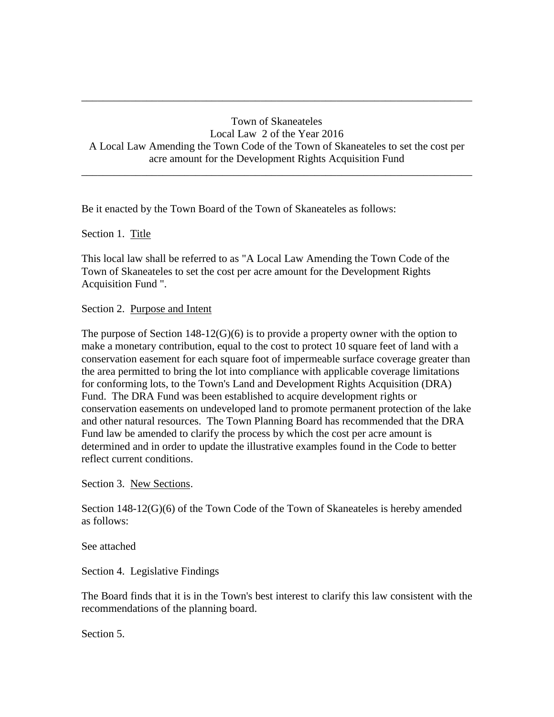## Town of Skaneateles Local Law 2 of the Year 2016 A Local Law Amending the Town Code of the Town of Skaneateles to set the cost per acre amount for the Development Rights Acquisition Fund \_\_\_\_\_\_\_\_\_\_\_\_\_\_\_\_\_\_\_\_\_\_\_\_\_\_\_\_\_\_\_\_\_\_\_\_\_\_\_\_\_\_\_\_\_\_\_\_\_\_\_\_\_\_\_\_\_\_\_\_\_\_\_\_\_\_\_\_\_\_\_\_

\_\_\_\_\_\_\_\_\_\_\_\_\_\_\_\_\_\_\_\_\_\_\_\_\_\_\_\_\_\_\_\_\_\_\_\_\_\_\_\_\_\_\_\_\_\_\_\_\_\_\_\_\_\_\_\_\_\_\_\_\_\_\_\_\_\_\_\_\_\_\_\_

Be it enacted by the Town Board of the Town of Skaneateles as follows:

Section 1. Title

This local law shall be referred to as "A Local Law Amending the Town Code of the Town of Skaneateles to set the cost per acre amount for the Development Rights Acquisition Fund ".

Section 2. Purpose and Intent

The purpose of Section  $148-12(G)(6)$  is to provide a property owner with the option to make a monetary contribution, equal to the cost to protect 10 square feet of land with a conservation easement for each square foot of impermeable surface coverage greater than the area permitted to bring the lot into compliance with applicable coverage limitations for conforming lots, to the Town's Land and Development Rights Acquisition (DRA) Fund. The DRA Fund was been established to acquire development rights or conservation easements on undeveloped land to promote permanent protection of the lake and other natural resources. The Town Planning Board has recommended that the DRA Fund law be amended to clarify the process by which the cost per acre amount is determined and in order to update the illustrative examples found in the Code to better reflect current conditions.

Section 3. New Sections.

Section 148-12(G)(6) of the Town Code of the Town of Skaneateles is hereby amended as follows:

See attached

Section 4. Legislative Findings

The Board finds that it is in the Town's best interest to clarify this law consistent with the recommendations of the planning board.

Section 5.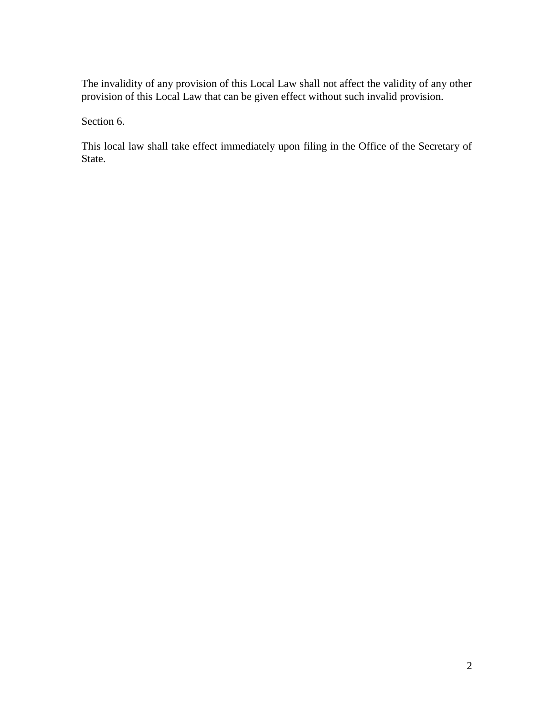The invalidity of any provision of this Local Law shall not affect the validity of any other provision of this Local Law that can be given effect without such invalid provision.

Section 6.

This local law shall take effect immediately upon filing in the Office of the Secretary of State.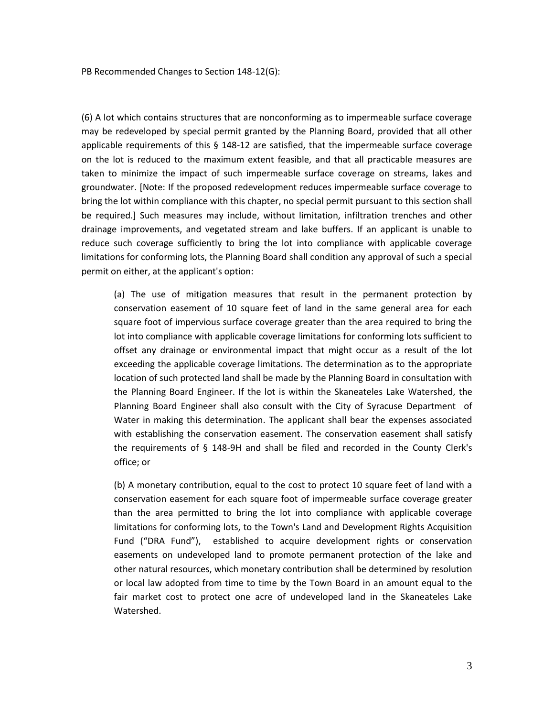PB Recommended Changes to Section 148-12(G):

(6) A lot which contains structures that are nonconforming as to impermeable surface coverage may be redeveloped by special permit granted by the Planning Board, provided that all other applicable requirements of this § 148-12 are satisfied, that the impermeable surface coverage on the lot is reduced to the maximum extent feasible, and that all practicable measures are taken to minimize the impact of such impermeable surface coverage on streams, lakes and groundwater. [Note: If the proposed redevelopment reduces impermeable surface coverage to bring the lot within compliance with this chapter, no special permit pursuant to this section shall be required.] Such measures may include, without limitation, infiltration trenches and other drainage improvements, and vegetated stream and lake buffers. If an applicant is unable to reduce such coverage sufficiently to bring the lot into compliance with applicable coverage limitations for conforming lots, the Planning Board shall condition any approval of such a special permit on either, at the applicant's option:

(a) The use of mitigation measures that result in the permanent protection by conservation easement of 10 square feet of land in the same general area for each square foot of impervious surface coverage greater than the area required to bring the lot into compliance with applicable coverage limitations for conforming lots sufficient to offset any drainage or environmental impact that might occur as a result of the lot exceeding the applicable coverage limitations. The determination as to the appropriate location of such protected land shall be made by the Planning Board in consultation with the Planning Board Engineer. If the lot is within the Skaneateles Lake Watershed, the Planning Board Engineer shall also consult with the City of Syracuse Department of Water in making this determination. The applicant shall bear the expenses associated with establishing the conservation easement. The conservation easement shall satisfy the requirements of § 148-9H and shall be filed and recorded in the County Clerk's office; or

(b) A monetary contribution, equal to the cost to protect 10 square feet of land with a conservation easement for each square foot of impermeable surface coverage greater than the area permitted to bring the lot into compliance with applicable coverage limitations for conforming lots, to the Town's Land and Development Rights Acquisition Fund ("DRA Fund"), established to acquire development rights or conservation easements on undeveloped land to promote permanent protection of the lake and other natural resources, which monetary contribution shall be determined by resolution or local law adopted from time to time by the Town Board in an amount equal to the fair market cost to protect one acre of undeveloped land in the Skaneateles Lake Watershed.